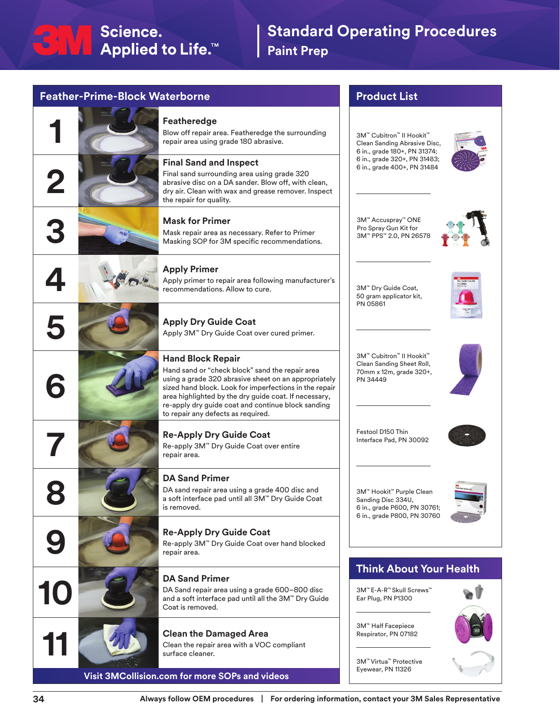## **1 Featheredge**<br>Blow off repair a repair area using **2** the repair for quality. **3 Mask for Primer**<br>Mask repair area as necessary. Refer to Primer<br>Masking SOP for 3M specific recommendations.

**Feather-Prime-Block Waterborne**

**4 Apply Primer**<br>**Apply primer** to recommendation





# **10 DA Sand Primer**<br>DA Sand repair area<br>and a soft interface point of the Coat is removed.

Blow off repair area. Featheredge the surrounding repair area using grade 180 abrasive.

## **Final Sand and Inspect**

Final sand surrounding area using grade 320 abrasive disc on a DA sander. Blow off, with clean, dry air. Clean with wax and grease remover. Inspect

Mask repair area as necessary. Refer to Primer

Apply primer to repair area following manufacturer's recommendations. Allow to cure.

### **5 Apply Dry Guide Coat** Apply 3M™ Dry Guide Coat over cured primer.

## **Hand Block Repair**

Hand sand or "check block" sand the repair area using a grade 320 abrasive sheet on an appropriately sized hand block. Look for imperfections in the repair area highlighted by the dry guide coat. If necessary, re-apply dry guide coat and continue block sanding to repair any defects as required.

## **7 Re-Apply Dry Guide Coat**

Re-apply 3M™ Dry Guide Coat over entire repair area.

**BA** Sand Primer<br>
DA Sand repair area<br>
a soft interface pad DA sand repair area using a grade 400 disc and a soft interface pad until all 3M™ Dry Guide Coat is removed.

## **9 Re-Apply Dry Guide Coat**

Re-apply 3M™ Dry Guide Coat over hand blocked repair area.

DA Sand repair area using a grade 600–800 disc and a soft interface pad until all the 3M™ Dry Guide Coat is removed.

## **11 Clean the Damaged Area**

Clean the repair area with a VOC compliant surface cleaner.

**Visit 3MCollision.com for more SOPs and videos**

## **Product List**

3M™ Cubitron™ II Hookit™ Clean Sanding Abrasive Disc, 6 in., grade 180+, PN 31374; 6 in., grade 320+, PN 31483; 6 in., grade 400+, PN 31484



3M™ Accuspray™ ONE Pro Spray Gun Kit for 3M™ PPS™ 2.0, PN 26578



3M™ Dry Guide Coat, 50 gram applicator kit, PN 05861



3M™ Cubitron™ II Hookit™ Clean Sanding Sheet Roll, 70mm x 12m, grade 320+, PN 34449



Festool D150 Thin Interface Pad, PN 30092



3M™ Hookit™ Purple Clean Sanding Disc 334U, 6 in., grade P600, PN 30761; 6 in., grade P800, PN 30760



## **Think About Your Health**

3M™ E-A-R™ Skull Screws™ Ear Plug, PN P1300

3M™ Half Facepiece Respirator, PN 07182

3M™ Virtua™ Protective Eyewear, PN 11326